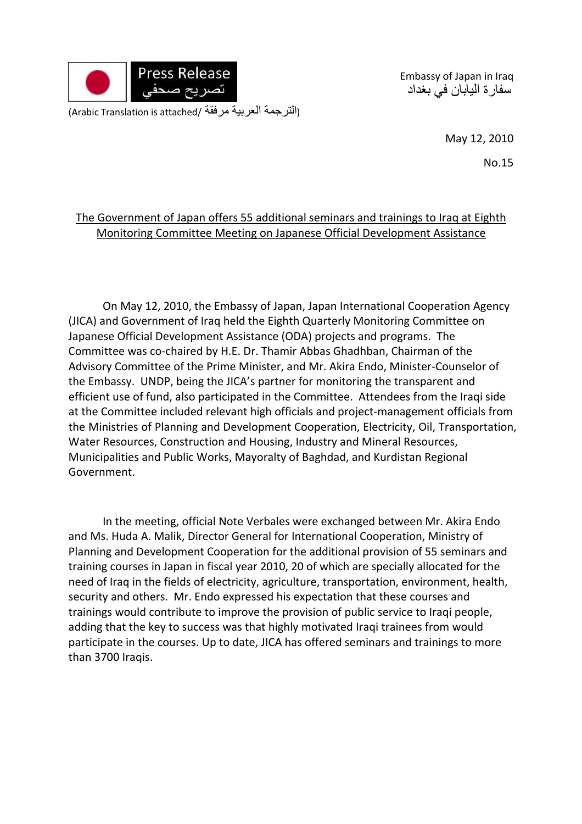

Embassy of Japan in Iraq سفارة اليابان في بغداد

(التر جمة العربية مرفقة /Arabic Translation is attached)

May 12, 2010

No.15

## The Government of Japan offers 55 additional seminars and trainings to Iraq at Eighth Monitoring Committee Meeting on Japanese Official Development Assistance

On May 12, 2010, the Embassy of Japan, Japan International Cooperation Agency (JICA) and Government of Iraq held the Eighth Quarterly Monitoring Committee on Japanese Official Development Assistance (ODA) projects and programs. The Committee was co‐chaired by H.E. Dr. Thamir Abbas Ghadhban, Chairman of the Advisory Committee of the Prime Minister, and Mr. Akira Endo, Minister‐Counselor of the Embassy. UNDP, being the JICA's partner for monitoring the transparent and efficient use of fund, also participated in the Committee. Attendees from the Iraqi side at the Committee included relevant high officials and project‐management officials from the Ministries of Planning and Development Cooperation, Electricity, Oil, Transportation, Water Resources, Construction and Housing, Industry and Mineral Resources, Municipalities and Public Works, Mayoralty of Baghdad, and Kurdistan Regional Government.

In the meeting, official Note Verbales were exchanged between Mr. Akira Endo and Ms. Huda A. Malik, Director General for International Cooperation, Ministry of Planning and Development Cooperation for the additional provision of 55 seminars and training courses in Japan in fiscal year 2010, 20 of which are specially allocated for the need of Iraq in the fields of electricity, agriculture, transportation, environment, health, security and others. Mr. Endo expressed his expectation that these courses and trainings would contribute to improve the provision of public service to Iraqi people, adding that the key to success was that highly motivated Iraqi trainees from would participate in the courses. Up to date, JICA has offered seminars and trainings to more than 3700 Iraqis.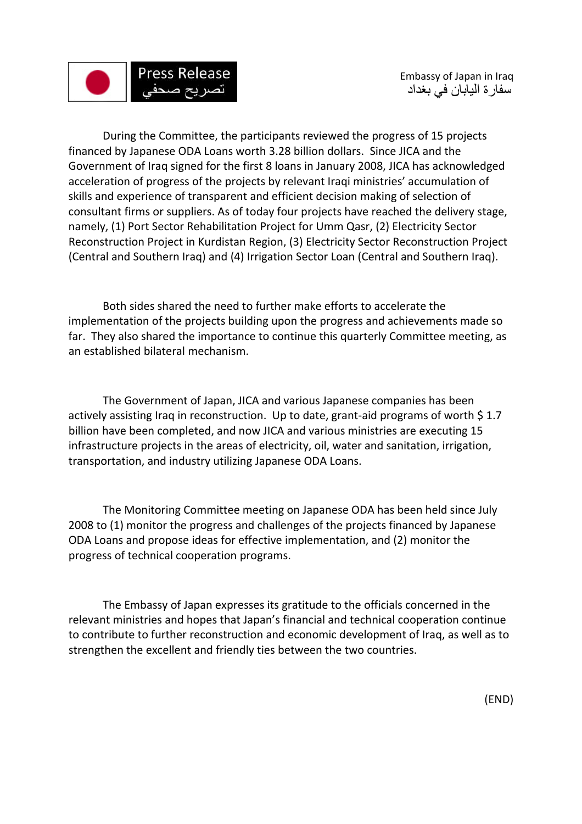

During the Committee, the participants reviewed the progress of 15 projects financed by Japanese ODA Loans worth 3.28 billion dollars. Since JICA and the Government of Iraq signed for the first 8 loans in January 2008, JICA has acknowledged acceleration of progress of the projects by relevant Iraqi ministries' accumulation of skills and experience of transparent and efficient decision making of selection of consultant firms or suppliers. As of today four projects have reached the delivery stage, namely, (1) Port Sector Rehabilitation Project for Umm Qasr, (2) Electricity Sector Reconstruction Project in Kurdistan Region, (3) Electricity Sector Reconstruction Project (Central and Southern Iraq) and (4) Irrigation Sector Loan (Central and Southern Iraq).

Both sides shared the need to further make efforts to accelerate the implementation of the projects building upon the progress and achievements made so far. They also shared the importance to continue this quarterly Committee meeting, as an established bilateral mechanism.

The Government of Japan, JICA and various Japanese companies has been actively assisting Iraq in reconstruction. Up to date, grant-aid programs of worth \$1.7 billion have been completed, and now JICA and various ministries are executing 15 infrastructure projects in the areas of electricity, oil, water and sanitation, irrigation, transportation, and industry utilizing Japanese ODA Loans.

The Monitoring Committee meeting on Japanese ODA has been held since July 2008 to (1) monitor the progress and challenges of the projects financed by Japanese ODA Loans and propose ideas for effective implementation, and (2) monitor the progress of technical cooperation programs.

The Embassy of Japan expresses its gratitude to the officials concerned in the relevant ministries and hopes that Japan's financial and technical cooperation continue to contribute to further reconstruction and economic development of Iraq, as well as to strengthen the excellent and friendly ties between the two countries.

(END)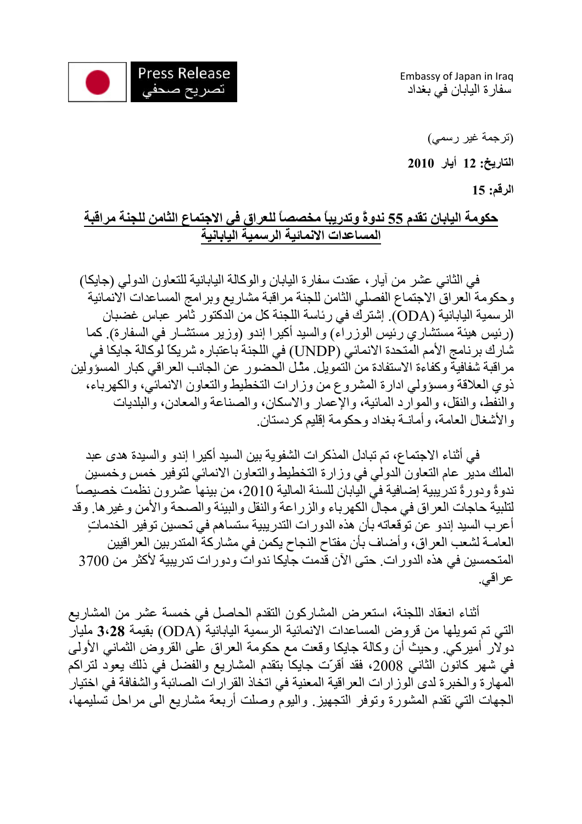

Embassy of Japan in Iraq سفارة اليابان في بغداد

(ترجمة غير رسمي) **التاريخ: 12 أيار 2010 الرقم: 15** 

## **حكومة اليابان تقدم 55 ندوةً وتدريباً مخصصاً للعراق في الاجتماع الثامن للجنة مراقبة المساعدات الانمائية الرسمية اليابانية**

 في الثاني عشر من آيار، عقدت سفارة اليابان والوآالة اليابانية للتعاون الدولي (جايكا) وحكومة العراق الاجتماع الفصلي الثامن للجنة مراقبة مشاريع وبرامج المساعدات الانمائية الرسمية اليابانية (ODA). إشترك في رئاسة اللجنة كل من الدكتور ثامر عباس غضبان (رئيس هيئة مستشاري رئيس الوزراء) والسيد أكيرا إندو (وزير مستشـار في السفارة). كما شارك برنامج الأمم المتحدة الانمائي (UNDP (في اللجنة باعتباره شريكاً لوآالة جايكا في مر اقبة شفافية وكفاءة الاستفادة من التمويل. مثّـل الحضور عن الجانب العراقي كبار المسؤولين ذوي العلاقة ومسؤولي ادارة المشروع من وزارات التخطيط والتعاون الانمائي، والكهرباء، والنفط، والنقل، والموارد المائية، والإعمار والاسكان، والصناعة والمعادن، والبلديات والأشغال العامة، وأمانـة بغداد وحكومة إقليم كردستان.

في أثناء الاجتماع، تم تبادل المذكر ات الشفوية بين السيد أكير ا إندو و السيدة هدى عبد الملك مدير عام التعاون الدولي في وزارة التخطيط والتعاون الانمائي لتوفير خمسٍ وخمسين ندوةً ودورةً تدريبية إضافية في اليابان للسنة المالية ،2010 من بينها عشرون نظمت خصيصاً لتلبية حاجات العراق في مجال الكهرباء والزراعة والنقل والبيئة والصحة والأمن وغيرها. وقد أعرب السيد إندو عن توقعاته بأن هذه الدورات التدريبية ستساهم في تحسين توفير الخدماتٍ العامـة لشعب العراق، وأضـاف بأن مفتاح النجاح يكمن في مشاركة المتدربين العراقيين المتحمسين في هذه الدورات. حتى الآن قدمت جايكا ندوات ودورات تدريبية لأآثر من 3700 عراقي.

أثناء انعقاد اللجنة، استعرض المشاركون التقدم الحاصل في خمسة عشر من المشاريع التي تم تمويلها من قروض المساعدات الانمائية الرسمية اليابانية (ODA (بقيمة **3،28** مليار دولار أميركي. وحيث أن وكالة جايكا وقعت مع حكومة العراق على القروض الثماني الأولى في شهر كانون الثاني 2008، فقد أقرّت جايكاً بتقدم المشاريع والفضل في ذلك يعود لتراكم المهارة والخبرة لدى الوزارات العراقية المعنية في اتخاذ القرارات الصائبة والشفافة في اختيار الجهات التي تقدم المشورة وتوفر التجهيز. واليوم وصلت أربعة مشاريع الى مراحل تسليمها،